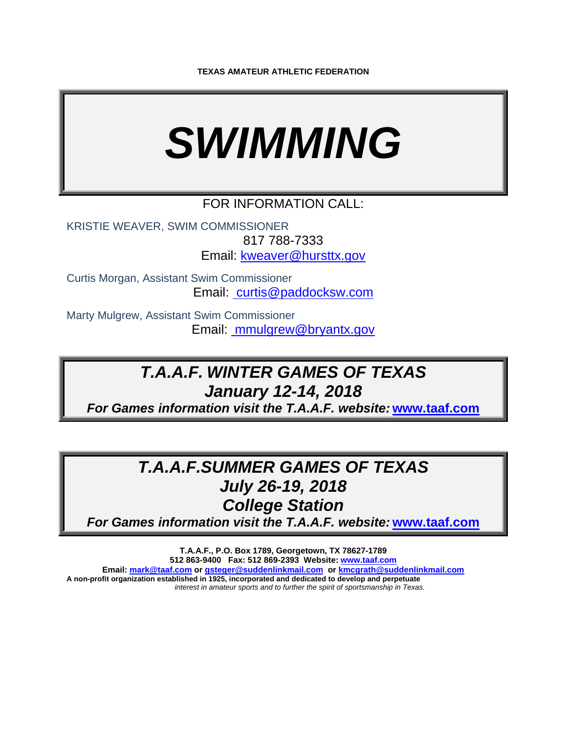# *SWIMMING*

## FOR INFORMATION CALL:

KRISTIE WEAVER, SWIM COMMISSIONER 817 788-7333 Email: kweaver@hursttx.gov

Curtis Morgan, Assistant Swim Commissioner Email: curtis@paddocksw.com

Marty Mulgrew, Assistant Swim Commissioner Email: mmulgrew@bryantx.gov

# *T.A.A.F. WINTER GAMES OF TEXAS January 12-14, 2018*

*For Games information visit the T.A.A.F. website:* **www.taaf.com**

# *T.A.A.F.SUMMER GAMES OF TEXAS July 26-19, 2018 College Station*

*For Games information visit the T.A.A.F. website:* **www.taaf.com**

**T.A.A.F., P.O. Box 1789, Georgetown, TX 78627-1789 512 863-9400 Fax: 512 869-2393 Website: www.taaf.com Email: mark@taaf.com or gsteger@suddenlinkmail.com or kmcgrath@suddenlinkmail.com A non-profit organization established in 1925, incorporated and dedicated to develop and perpetuate**  *interest in amateur sports and to further the spirit of sportsmanship in Texas.*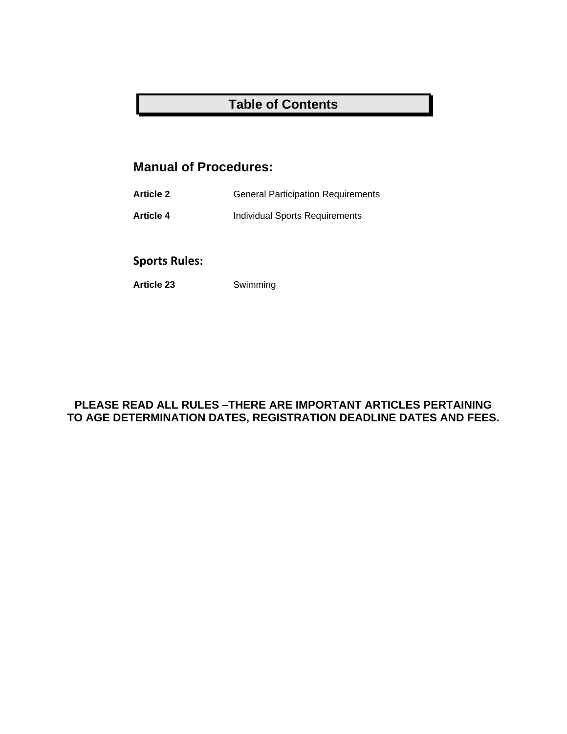# **Table of Contents**

# **Manual of Procedures:**

**Article 2** General Participation Requirements

**Article 4** Individual Sports Requirements

## **Sports Rules:**

**Article 23** Swimming

#### **PLEASE READ ALL RULES –THERE ARE IMPORTANT ARTICLES PERTAINING TO AGE DETERMINATION DATES, REGISTRATION DEADLINE DATES AND FEES.**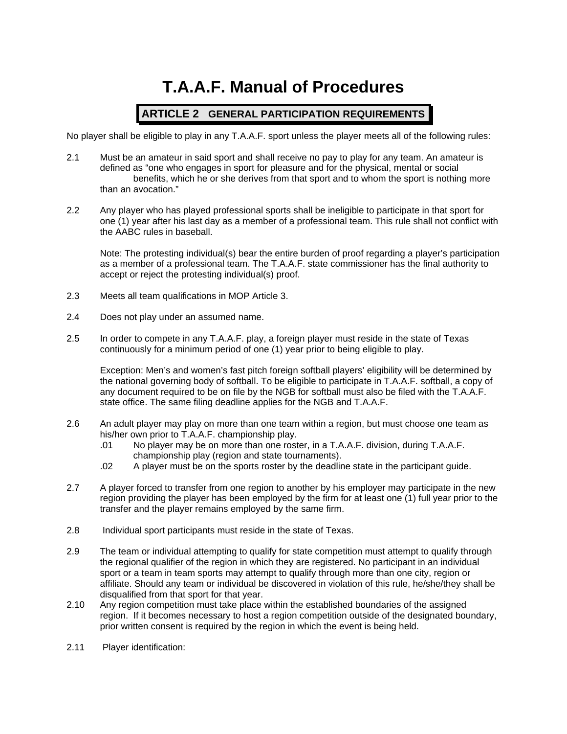# **T.A.A.F. Manual of Procedures**

#### **ARTICLE 2 GENERAL PARTICIPATION REQUIREMENTS**

No player shall be eligible to play in any T.A.A.F. sport unless the player meets all of the following rules:

- 2.1 Must be an amateur in said sport and shall receive no pay to play for any team. An amateur is defined as "one who engages in sport for pleasure and for the physical, mental or social benefits, which he or she derives from that sport and to whom the sport is nothing more than an avocation."
- 2.2 Any player who has played professional sports shall be ineligible to participate in that sport for one (1) year after his last day as a member of a professional team. This rule shall not conflict with the AABC rules in baseball.

Note: The protesting individual(s) bear the entire burden of proof regarding a player's participation as a member of a professional team. The T.A.A.F. state commissioner has the final authority to accept or reject the protesting individual(s) proof.

- 2.3 Meets all team qualifications in MOP Article 3.
- 2.4 Does not play under an assumed name.
- 2.5 In order to compete in any T.A.A.F. play, a foreign player must reside in the state of Texas continuously for a minimum period of one (1) year prior to being eligible to play.

Exception: Men's and women's fast pitch foreign softball players' eligibility will be determined by the national governing body of softball. To be eligible to participate in T.A.A.F. softball, a copy of any document required to be on file by the NGB for softball must also be filed with the T.A.A.F. state office. The same filing deadline applies for the NGB and T.A.A.F.

- 2.6 An adult player may play on more than one team within a region, but must choose one team as his/her own prior to T.A.A.F. championship play.
	- .01 No player may be on more than one roster, in a T.A.A.F. division, during T.A.A.F. championship play (region and state tournaments).
	- .02 A player must be on the sports roster by the deadline state in the participant guide.
- 2.7 A player forced to transfer from one region to another by his employer may participate in the new region providing the player has been employed by the firm for at least one (1) full year prior to the transfer and the player remains employed by the same firm.
- 2.8 Individual sport participants must reside in the state of Texas.
- 2.9 The team or individual attempting to qualify for state competition must attempt to qualify through the regional qualifier of the region in which they are registered. No participant in an individual sport or a team in team sports may attempt to qualify through more than one city, region or affiliate. Should any team or individual be discovered in violation of this rule, he/she/they shall be disqualified from that sport for that year.
- 2.10 Any region competition must take place within the established boundaries of the assigned region. If it becomes necessary to host a region competition outside of the designated boundary, prior written consent is required by the region in which the event is being held.
- 2.11 Player identification: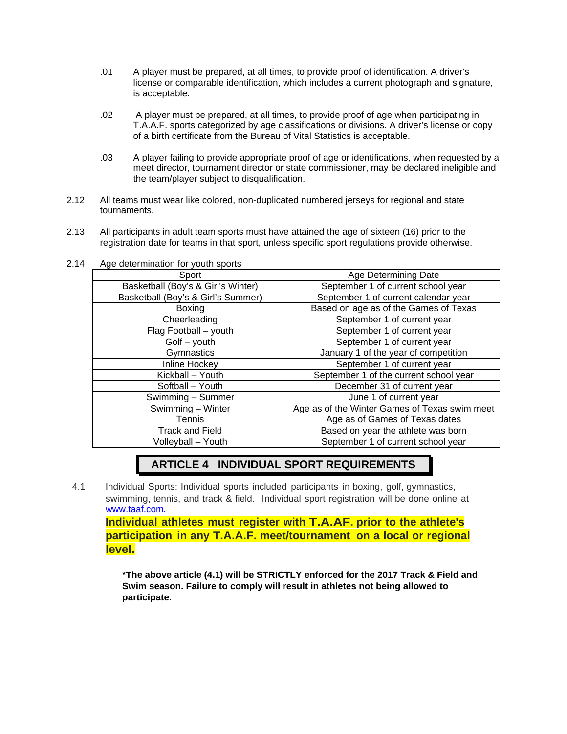- .01 A player must be prepared, at all times, to provide proof of identification. A driver's license or comparable identification, which includes a current photograph and signature, is acceptable.
- .02 A player must be prepared, at all times, to provide proof of age when participating in T.A.A.F. sports categorized by age classifications or divisions. A driver's license or copy of a birth certificate from the Bureau of Vital Statistics is acceptable.
- .03 A player failing to provide appropriate proof of age or identifications, when requested by a meet director, tournament director or state commissioner, may be declared ineligible and the team/player subject to disqualification.
- 2.12 All teams must wear like colored, non-duplicated numbered jerseys for regional and state tournaments.
- 2.13 All participants in adult team sports must have attained the age of sixteen (16) prior to the registration date for teams in that sport, unless specific sport regulations provide otherwise.

| Sport                                                    | <b>Age Determining Date</b>                   |  |
|----------------------------------------------------------|-----------------------------------------------|--|
| Basketball (Boy's & Girl's Winter)                       | September 1 of current school year            |  |
| Basketball (Boy's & Girl's Summer)                       | September 1 of current calendar year          |  |
| <b>Boxing</b>                                            | Based on age as of the Games of Texas         |  |
| September 1 of current year<br>Cheerleading              |                                               |  |
| Flag Football - youth                                    | September 1 of current year                   |  |
| $G$ olf $-$ youth                                        | September 1 of current year                   |  |
| Gymnastics                                               | January 1 of the year of competition          |  |
| September 1 of current year<br>Inline Hockey             |                                               |  |
| Kickball - Youth                                         | September 1 of the current school year        |  |
| Softball - Youth                                         | December 31 of current year                   |  |
| Swimming - Summer                                        | June 1 of current year                        |  |
| Swimming - Winter                                        | Age as of the Winter Games of Texas swim meet |  |
| Tennis                                                   | Age as of Games of Texas dates                |  |
| <b>Track and Field</b>                                   | Based on year the athlete was born            |  |
| September 1 of current school year<br>Volleyball - Youth |                                               |  |

2.14 Age determination for youth sports

## **ARTICLE 4 INDIVIDUAL SPORT REQUIREMENTS**

4.1 Individual Sports: Individual sports included participants in boxing, golf, gymnastics, swimming, tennis, and track & field. Individual sport registration will be done online at www.taaf.com.

 **Individual athletes must register with T.A.AF. prior to the athlete's participation in any T.A.A.F. meet/tournament on a local or regional level.** 

**\*The above article (4.1) will be STRICTLY enforced for the 2017 Track & Field and Swim season. Failure to comply will result in athletes not being allowed to participate.**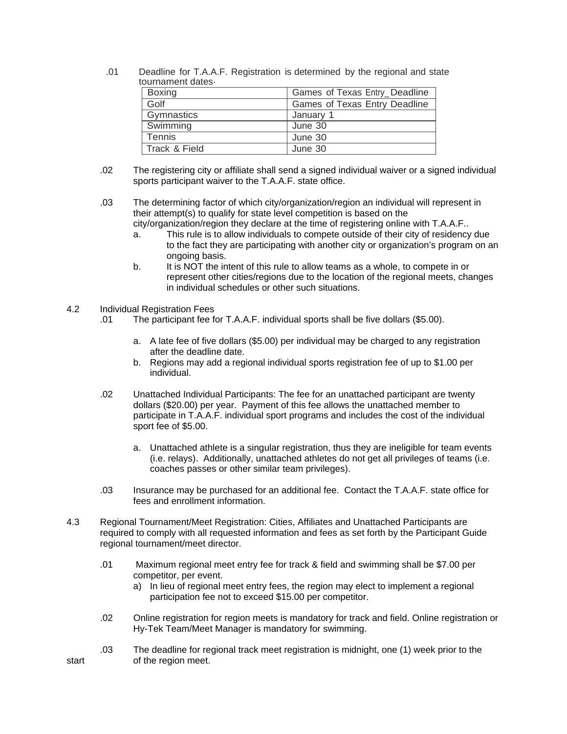.01 Deadline for T.A.A.F. Registration is determined by the regional and state tournament dates·

| <b>Boxing</b> | Games of Texas Entry_Deadline |
|---------------|-------------------------------|
| Golf          | Games of Texas Entry Deadline |
| Gymnastics    | January 1                     |
| Swimming      | June 30                       |
| Tennis        | June 30                       |
| Track & Field | June 30                       |

 .02 The registering city or affiliate shall send a signed individual waiver or a signed individual sports participant waiver to the T.A.A.F. state office.

 .03 The determining factor of which city/organization/region an individual will represent in their attempt(s) to qualify for state level competition is based on the city/organization/region they declare at the time of registering online with T.A.A.F..

- a. This rule is to allow individuals to compete outside of their city of residency due to the fact they are participating with another city or organization's program on an ongoing basis.
- b. It is NOT the intent of this rule to allow teams as a whole, to compete in or represent other cities/regions due to the location of the regional meets, changes in individual schedules or other such situations.

#### 4.2 Individual Registration Fees

- .01 The participant fee for T.A.A.F. individual sports shall be five dollars (\$5.00).
	- a. A late fee of five dollars (\$5.00) per individual may be charged to any registration after the deadline date.
	- b. Regions may add a regional individual sports registration fee of up to \$1.00 per individual.
- .02 Unattached Individual Participants: The fee for an unattached participant are twenty dollars (\$20.00) per year. Payment of this fee allows the unattached member to participate in T.A.A.F. individual sport programs and includes the cost of the individual sport fee of \$5.00.
	- a. Unattached athlete is a singular registration, thus they are ineligible for team events (i.e. relays). Additionally, unattached athletes do not get all privileges of teams (i.e. coaches passes or other similar team privileges).
- .03 Insurance may be purchased for an additional fee. Contact the T.A.A.F. state office for fees and enrollment information.
- 4.3 Regional Tournament/Meet Registration: Cities, Affiliates and Unattached Participants are required to comply with all requested information and fees as set forth by the Participant Guide regional tournament/meet director.
	- .01 Maximum regional meet entry fee for track & field and swimming shall be \$7.00 per competitor, per event.
		- a) In lieu of regional meet entry fees, the region may elect to implement a regional participation fee not to exceed \$15.00 per competitor.
	- .02 Online registration for region meets is mandatory for track and field. Online registration or Hy-Tek Team/Meet Manager is mandatory for swimming.
- .03 The deadline for regional track meet registration is midnight, one (1) week prior to the start of the region meet.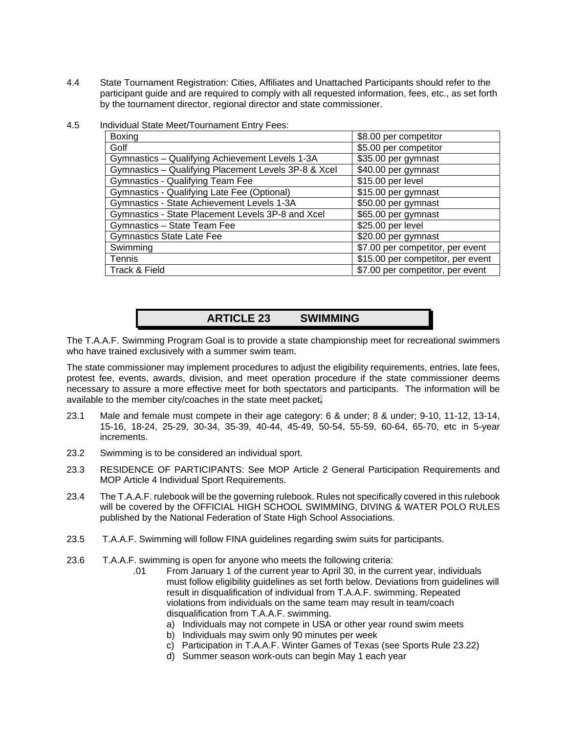- 4.4 State Tournament Registration: Cities, Affiliates and Unattached Participants should refer to the participant guide and are required to comply with all requested information, fees, etc., as set forth by the tournament director, regional director and state commissioner.
- 4.5 Individual State Meet/Tournament Entry Fees:

| <b>Boxing</b>                                        | \$8.00 per competitor             |
|------------------------------------------------------|-----------------------------------|
| Golf                                                 | \$5.00 per competitor             |
| Gymnastics - Qualifying Achievement Levels 1-3A      | \$35.00 per gymnast               |
| Gymnastics - Qualifying Placement Levels 3P-8 & Xcel | \$40.00 per gymnast               |
| <b>Gymnastics - Qualifying Team Fee</b>              | \$15.00 per level                 |
| Gymnastics - Qualifying Late Fee (Optional)          | \$15.00 per gymnast               |
| Gymnastics - State Achievement Levels 1-3A           | \$50.00 per gymnast               |
| Gymnastics - State Placement Levels 3P-8 and Xcel    | \$65.00 per gymnast               |
| Gymnastics - State Team Fee                          | \$25.00 per level                 |
| <b>Gymnastics State Late Fee</b>                     | \$20.00 per gymnast               |
| Swimming                                             | \$7.00 per competitor, per event  |
| <b>Tennis</b>                                        | \$15.00 per competitor, per event |
| Track & Field                                        | \$7.00 per competitor, per event  |

#### **ARTICLE 23 SWIMMING**

The T.A.A.F. Swimming Program Goal is to provide a state championship meet for recreational swimmers who have trained exclusively with a summer swim team.

The state commissioner may implement procedures to adjust the eligibility requirements, entries, late fees, protest fee, events, awards, division, and meet operation procedure if the state commissioner deems necessary to assure a more effective meet for both spectators and participants. The information will be available to the member city/coaches in the state meet packet**.** 

- 23.1 Male and female must compete in their age category: 6 & under; 8 & under; 9-10, 11-12, 13-14, 15-16, 18-24, 25-29, 30-34, 35-39, 40-44, 45-49, 50-54, 55-59, 60-64, 65-70, etc in 5-year increments.
- 23.2 Swimming is to be considered an individual sport.
- 23.3 RESIDENCE OF PARTICIPANTS: See MOP Article 2 General Participation Requirements and MOP Article 4 Individual Sport Requirements.
- 23.4 The T.A.A.F. rulebook will be the governing rulebook. Rules not specifically covered in this rulebook will be covered by the OFFICIAL HIGH SCHOOL SWIMMING, DIVING & WATER POLO RULES published by the National Federation of State High School Associations.
- 23.5 T.A.A.F. Swimming will follow FINA guidelines regarding swim suits for participants.
- 23.6 T.A.A.F. swimming is open for anyone who meets the following criteria:
	- .01 From January 1 of the current year to April 30, in the current year, individuals must follow eligibility guidelines as set forth below. Deviations from guidelines will result in disqualification of individual from T.A.A.F. swimming. Repeated violations from individuals on the same team may result in team/coach disqualification from T.A.A.F. swimming.
		- a) Individuals may not compete in USA or other year round swim meets
		- b) Individuals may swim only 90 minutes per week
		- c) Participation in T.A.A.F. Winter Games of Texas (see Sports Rule 23.22)
		- d) Summer season work-outs can begin May 1 each year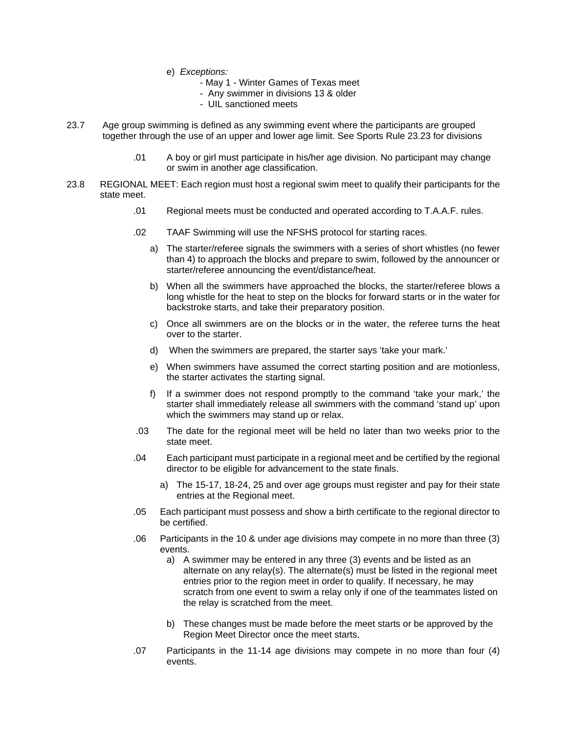- e) *Exceptions:* 
	- May 1 Winter Games of Texas meet
	- Any swimmer in divisions 13 & older
	- UIL sanctioned meets
- 23.7 Age group swimming is defined as any swimming event where the participants are grouped together through the use of an upper and lower age limit. See Sports Rule 23.23 for divisions
	- .01 A boy or girl must participate in his/her age division. No participant may change or swim in another age classification.
- 23.8 REGIONAL MEET: Each region must host a regional swim meet to qualify their participants for the state meet.
	- .01 Regional meets must be conducted and operated according to T.A.A.F. rules.
	- .02 TAAF Swimming will use the NFSHS protocol for starting races.
		- a) The starter/referee signals the swimmers with a series of short whistles (no fewer than 4) to approach the blocks and prepare to swim, followed by the announcer or starter/referee announcing the event/distance/heat.
		- b) When all the swimmers have approached the blocks, the starter/referee blows a long whistle for the heat to step on the blocks for forward starts or in the water for backstroke starts, and take their preparatory position.
		- c) Once all swimmers are on the blocks or in the water, the referee turns the heat over to the starter.
		- d) When the swimmers are prepared, the starter says 'take your mark.'
		- e) When swimmers have assumed the correct starting position and are motionless, the starter activates the starting signal.
		- f) If a swimmer does not respond promptly to the command 'take your mark,' the starter shall immediately release all swimmers with the command 'stand up' upon which the swimmers may stand up or relax.
	- .03 The date for the regional meet will be held no later than two weeks prior to the state meet.
	- .04 Each participant must participate in a regional meet and be certified by the regional director to be eligible for advancement to the state finals.
		- a) The 15-17, 18-24, 25 and over age groups must register and pay for their state entries at the Regional meet.
	- .05 Each participant must possess and show a birth certificate to the regional director to be certified.
	- .06 Participants in the 10 & under age divisions may compete in no more than three (3) events.
		- a) A swimmer may be entered in any three (3) events and be listed as an alternate on any relay(s). The alternate(s) must be listed in the regional meet entries prior to the region meet in order to qualify. If necessary, he may scratch from one event to swim a relay only if one of the teammates listed on the relay is scratched from the meet.
		- b) These changes must be made before the meet starts or be approved by the Region Meet Director once the meet starts.
	- .07 Participants in the 11-14 age divisions may compete in no more than four (4) events.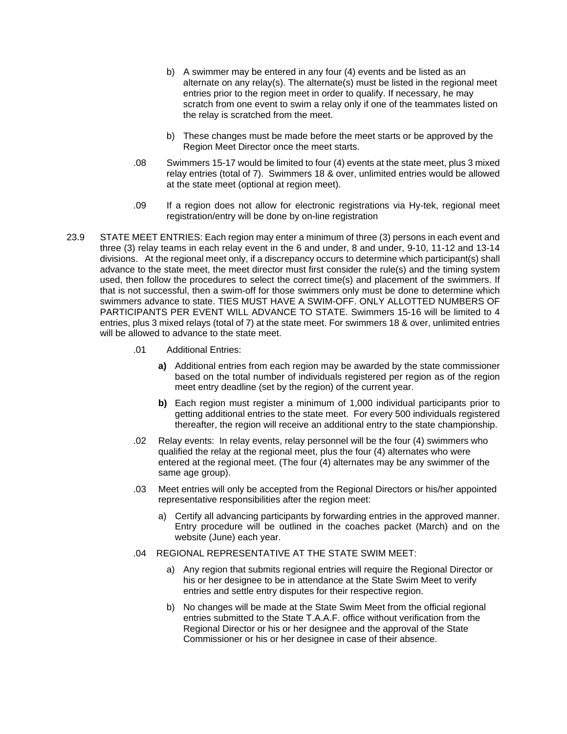- b) A swimmer may be entered in any four (4) events and be listed as an alternate on any relay(s). The alternate(s) must be listed in the regional meet entries prior to the region meet in order to qualify. If necessary, he may scratch from one event to swim a relay only if one of the teammates listed on the relay is scratched from the meet.
- b) These changes must be made before the meet starts or be approved by the Region Meet Director once the meet starts.
- .08 Swimmers 15-17 would be limited to four (4) events at the state meet, plus 3 mixed relay entries (total of 7). Swimmers 18 & over, unlimited entries would be allowed at the state meet (optional at region meet).
- .09 If a region does not allow for electronic registrations via Hy-tek, regional meet registration/entry will be done by on-line registration
- 23.9 STATE MEET ENTRIES: Each region may enter a minimum of three (3) persons in each event and three (3) relay teams in each relay event in the 6 and under, 8 and under, 9-10, 11-12 and 13-14 divisions. At the regional meet only, if a discrepancy occurs to determine which participant(s) shall advance to the state meet, the meet director must first consider the rule(s) and the timing system used, then follow the procedures to select the correct time(s) and placement of the swimmers. If that is not successful, then a swim-off for those swimmers only must be done to determine which swimmers advance to state. TIES MUST HAVE A SWIM-OFF. ONLY ALLOTTED NUMBERS OF PARTICIPANTS PER EVENT WILL ADVANCE TO STATE. Swimmers 15-16 will be limited to 4 entries, plus 3 mixed relays (total of 7) at the state meet. For swimmers 18 & over, unlimited entries will be allowed to advance to the state meet.
	- .01 Additional Entries:
		- **a)** Additional entries from each region may be awarded by the state commissioner based on the total number of individuals registered per region as of the region meet entry deadline (set by the region) of the current year.
		- **b)** Each region must register a minimum of 1,000 individual participants prior to getting additional entries to the state meet. For every 500 individuals registered thereafter, the region will receive an additional entry to the state championship.
	- .02 Relay events: In relay events, relay personnel will be the four (4) swimmers who qualified the relay at the regional meet, plus the four (4) alternates who were entered at the regional meet. (The four (4) alternates may be any swimmer of the same age group).
	- .03 Meet entries will only be accepted from the Regional Directors or his/her appointed representative responsibilities after the region meet:
		- a) Certify all advancing participants by forwarding entries in the approved manner. Entry procedure will be outlined in the coaches packet (March) and on the website (June) each year.
	- .04 REGIONAL REPRESENTATIVE AT THE STATE SWIM MEET:
		- a) Any region that submits regional entries will require the Regional Director or his or her designee to be in attendance at the State Swim Meet to verify entries and settle entry disputes for their respective region.
		- b) No changes will be made at the State Swim Meet from the official regional entries submitted to the State T.A.A.F. office without verification from the Regional Director or his or her designee and the approval of the State Commissioner or his or her designee in case of their absence.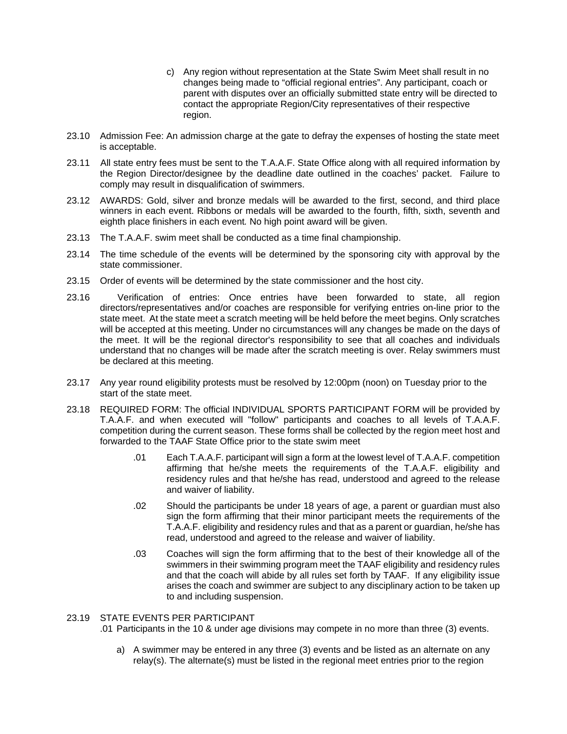- c) Any region without representation at the State Swim Meet shall result in no changes being made to "official regional entries". Any participant, coach or parent with disputes over an officially submitted state entry will be directed to contact the appropriate Region/City representatives of their respective region.
- 23.10 Admission Fee: An admission charge at the gate to defray the expenses of hosting the state meet is acceptable.
- 23.11 All state entry fees must be sent to the T.A.A.F. State Office along with all required information by the Region Director/designee by the deadline date outlined in the coaches' packet. Failure to comply may result in disqualification of swimmers.
- 23.12 AWARDS: Gold, silver and bronze medals will be awarded to the first, second, and third place winners in each event. Ribbons or medals will be awarded to the fourth, fifth, sixth, seventh and eighth place finishers in each event*.* No high point award will be given.
- 23.13 The T.A.A.F. swim meet shall be conducted as a time final championship.
- 23.14 The time schedule of the events will be determined by the sponsoring city with approval by the state commissioner.
- 23.15 Order of events will be determined by the state commissioner and the host city.
- 23.16 Verification of entries: Once entries have been forwarded to state, all region directors/representatives and/or coaches are responsible for verifying entries on-line prior to the state meet. At the state meet a scratch meeting will be held before the meet begins. Only scratches will be accepted at this meeting. Under no circumstances will any changes be made on the days of the meet. It will be the regional director's responsibility to see that all coaches and individuals understand that no changes will be made after the scratch meeting is over. Relay swimmers must be declared at this meeting.
- 23.17 Any year round eligibility protests must be resolved by 12:00pm (noon) on Tuesday prior to the start of the state meet.
- 23.18 REQUIRED FORM: The official INDIVIDUAL SPORTS PARTICIPANT FORM will be provided by T.A.A.F. and when executed will "follow" participants and coaches to all levels of T.A.A.F. competition during the current season. These forms shall be collected by the region meet host and forwarded to the TAAF State Office prior to the state swim meet
	- .01 Each T.A.A.F. participant will sign a form at the lowest level of T.A.A.F. competition affirming that he/she meets the requirements of the T.A.A.F. eligibility and residency rules and that he/she has read, understood and agreed to the release and waiver of liability.
	- .02 Should the participants be under 18 years of age, a parent or guardian must also sign the form affirming that their minor participant meets the requirements of the T.A.A.F. eligibility and residency rules and that as a parent or guardian, he/she has read, understood and agreed to the release and waiver of liability.
	- .03 Coaches will sign the form affirming that to the best of their knowledge all of the swimmers in their swimming program meet the TAAF eligibility and residency rules and that the coach will abide by all rules set forth by TAAF. If any eligibility issue arises the coach and swimmer are subject to any disciplinary action to be taken up to and including suspension.

#### 23.19 STATE EVENTS PER PARTICIPANT

.01 Participants in the 10 & under age divisions may compete in no more than three (3) events.

a) A swimmer may be entered in any three (3) events and be listed as an alternate on any relay(s). The alternate(s) must be listed in the regional meet entries prior to the region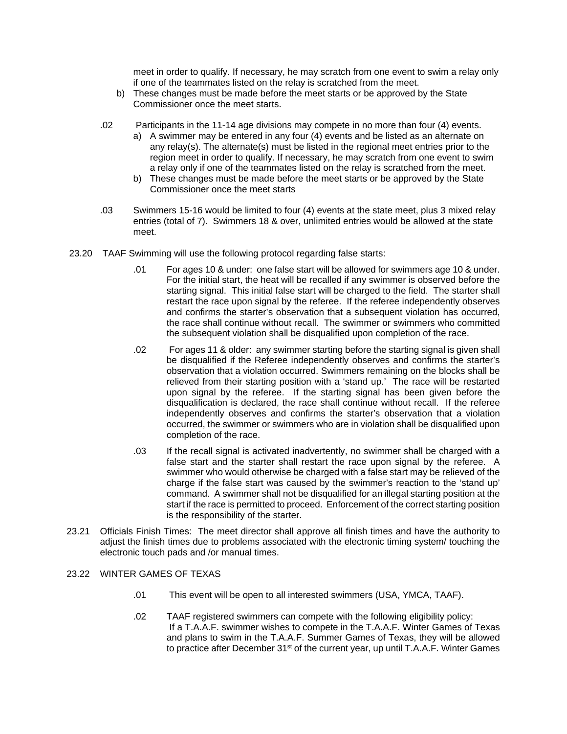meet in order to qualify. If necessary, he may scratch from one event to swim a relay only if one of the teammates listed on the relay is scratched from the meet.

- b) These changes must be made before the meet starts or be approved by the State Commissioner once the meet starts.
- .02 Participants in the 11-14 age divisions may compete in no more than four (4) events.
	- a) A swimmer may be entered in any four (4) events and be listed as an alternate on any relay(s). The alternate(s) must be listed in the regional meet entries prior to the region meet in order to qualify. If necessary, he may scratch from one event to swim a relay only if one of the teammates listed on the relay is scratched from the meet.
	- b) These changes must be made before the meet starts or be approved by the State Commissioner once the meet starts
- .03 Swimmers 15-16 would be limited to four (4) events at the state meet, plus 3 mixed relay entries (total of 7). Swimmers 18 & over, unlimited entries would be allowed at the state meet.
- 23.20 TAAF Swimming will use the following protocol regarding false starts:
	- .01 For ages 10 & under: one false start will be allowed for swimmers age 10 & under. For the initial start, the heat will be recalled if any swimmer is observed before the starting signal. This initial false start will be charged to the field. The starter shall restart the race upon signal by the referee. If the referee independently observes and confirms the starter's observation that a subsequent violation has occurred, the race shall continue without recall. The swimmer or swimmers who committed the subsequent violation shall be disqualified upon completion of the race.
	- .02 For ages 11 & older: any swimmer starting before the starting signal is given shall be disqualified if the Referee independently observes and confirms the starter's observation that a violation occurred. Swimmers remaining on the blocks shall be relieved from their starting position with a 'stand up.' The race will be restarted upon signal by the referee. If the starting signal has been given before the disqualification is declared, the race shall continue without recall. If the referee independently observes and confirms the starter's observation that a violation occurred, the swimmer or swimmers who are in violation shall be disqualified upon completion of the race.
	- .03 If the recall signal is activated inadvertently, no swimmer shall be charged with a false start and the starter shall restart the race upon signal by the referee. A swimmer who would otherwise be charged with a false start may be relieved of the charge if the false start was caused by the swimmer's reaction to the 'stand up' command. A swimmer shall not be disqualified for an illegal starting position at the start if the race is permitted to proceed. Enforcement of the correct starting position is the responsibility of the starter.
- 23.21 Officials Finish Times: The meet director shall approve all finish times and have the authority to adjust the finish times due to problems associated with the electronic timing system/ touching the electronic touch pads and /or manual times.

#### 23.22 WINTER GAMES OF TEXAS

- .01 This event will be open to all interested swimmers (USA, YMCA, TAAF).
- .02 TAAF registered swimmers can compete with the following eligibility policy: If a T.A.A.F. swimmer wishes to compete in the T.A.A.F. Winter Games of Texas and plans to swim in the T.A.A.F. Summer Games of Texas, they will be allowed to practice after December  $31<sup>st</sup>$  of the current year, up until T.A.A.F. Winter Games